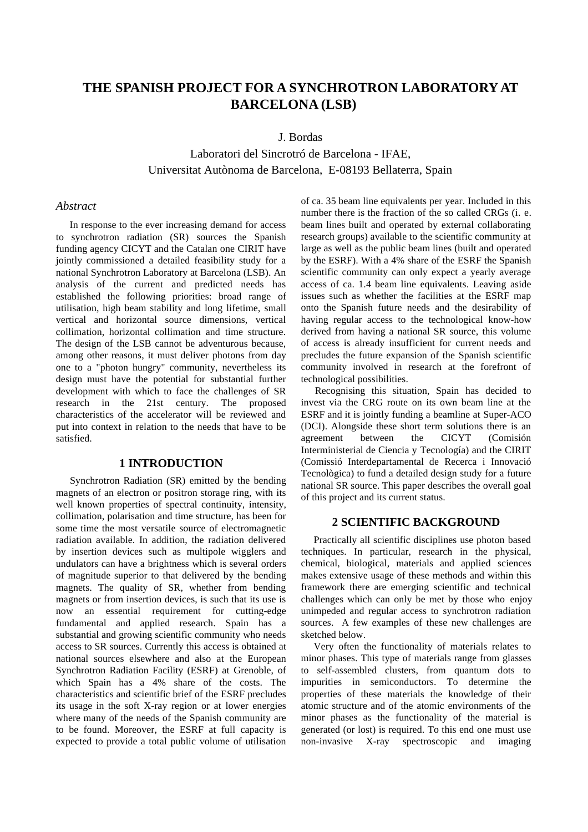# **THE SPANISH PROJECT FOR A SYNCHROTRON LABORATORY AT BARCELONA (LSB)**

J. Bordas

Laboratori del Sincrotró de Barcelona - IFAE, Universitat Autònoma de Barcelona, E-08193 Bellaterra, Spain

#### *Abstract*

In response to the ever increasing demand for access to synchrotron radiation (SR) sources the Spanish funding agency CICYT and the Catalan one CIRIT have jointly commissioned a detailed feasibility study for a national Synchrotron Laboratory at Barcelona (LSB). An analysis of the current and predicted needs has established the following priorities: broad range of utilisation, high beam stability and long lifetime, small vertical and horizontal source dimensions, vertical collimation, horizontal collimation and time structure. The design of the LSB cannot be adventurous because, among other reasons, it must deliver photons from day one to a "photon hungry" community, nevertheless its design must have the potential for substantial further development with which to face the challenges of SR research in the 21st century. The proposed characteristics of the accelerator will be reviewed and put into context in relation to the needs that have to be satisfied.

## **1 INTRODUCTION**

Synchrotron Radiation (SR) emitted by the bending magnets of an electron or positron storage ring, with its well known properties of spectral continuity, intensity, collimation, polarisation and time structure, has been for some time the most versatile source of electromagnetic radiation available. In addition, the radiation delivered by insertion devices such as multipole wigglers and undulators can have a brightness which is several orders of magnitude superior to that delivered by the bending magnets. The quality of SR, whether from bending magnets or from insertion devices, is such that its use is now an essential requirement for cutting-edge fundamental and applied research. Spain has a substantial and growing scientific community who needs access to SR sources. Currently this access is obtained at national sources elsewhere and also at the European Synchrotron Radiation Facility (ESRF) at Grenoble, of which Spain has a 4% share of the costs. The characteristics and scientific brief of the ESRF precludes its usage in the soft X-ray region or at lower energies where many of the needs of the Spanish community are to be found. Moreover, the ESRF at full capacity is expected to provide a total public volume of utilisation

of ca. 35 beam line equivalents per year. Included in this number there is the fraction of the so called CRGs (i. e. beam lines built and operated by external collaborating research groups) available to the scientific community at large as well as the public beam lines (built and operated by the ESRF). With a 4% share of the ESRF the Spanish scientific community can only expect a yearly average access of ca. 1.4 beam line equivalents. Leaving aside issues such as whether the facilities at the ESRF map onto the Spanish future needs and the desirability of having regular access to the technological know-how derived from having a national SR source, this volume of access is already insufficient for current needs and precludes the future expansion of the Spanish scientific community involved in research at the forefront of technological possibilities.

Recognising this situation, Spain has decided to invest via the CRG route on its own beam line at the ESRF and it is jointly funding a beamline at Super-ACO (DCI). Alongside these short term solutions there is an agreement between the CICYT (Comisión Interministerial de Ciencia y Tecnología) and the CIRIT (Comissió Interdepartamental de Recerca i Innovació Tecnològica) to fund a detailed design study for a future national SR source. This paper describes the overall goal of this project and its current status.

#### **2 SCIENTIFIC BACKGROUND**

Practically all scientific disciplines use photon based techniques. In particular, research in the physical, chemical, biological, materials and applied sciences makes extensive usage of these methods and within this framework there are emerging scientific and technical challenges which can only be met by those who enjoy unimpeded and regular access to synchrotron radiation sources. A few examples of these new challenges are sketched below.

Very often the functionality of materials relates to minor phases. This type of materials range from glasses to self-assembled clusters, from quantum dots to impurities in semiconductors. To determine the properties of these materials the knowledge of their atomic structure and of the atomic environments of the minor phases as the functionality of the material is generated (or lost) is required. To this end one must use non-invasive X-ray spectroscopic and imaging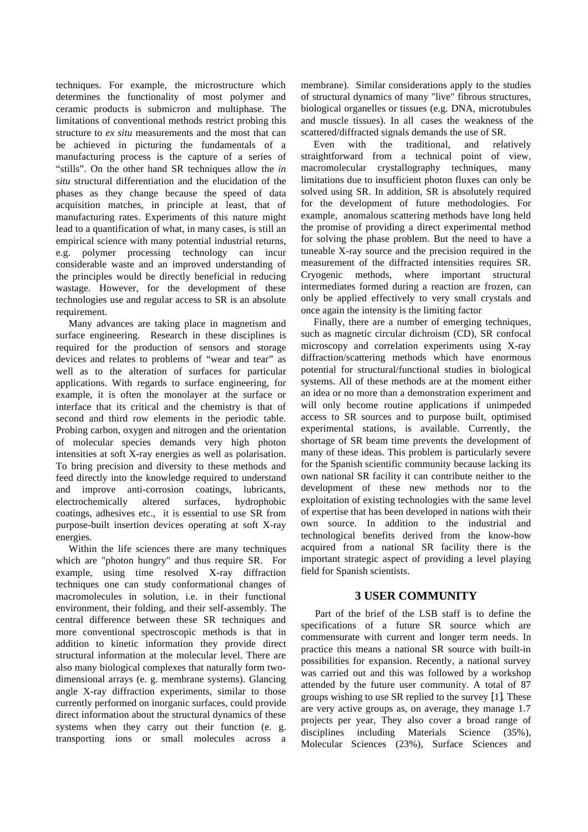techniques. For example, the microstructure which determines the functionality of most polymer and ceramic products is submicron and multiphase. The limitations of conventional methods restrict probing this structure to *ex situ* measurements and the most that can be achieved in picturing the fundamentals of a manufacturing process is the capture of a series of "stills". On the other hand SR techniques allow the *in situ* structural differentiation and the elucidation of the phases as they change because the speed of data acquisition matches, in principle at least, that of manufacturing rates. Experiments of this nature might lead to a quantification of what, in many cases, is still an empirical science with many potential industrial returns, e.g. polymer processing technology can incur considerable waste and an improved understanding of the principles would be directly beneficial in reducing wastage. However, for the development of these technologies use and regular access to SR is an absolute requirement.

Many advances are taking place in magnetism and surface engineering. Research in these disciplines is required for the production of sensors and storage devices and relates to problems of "wear and tear" as well as to the alteration of surfaces for particular applications. With regards to surface engineering, for example, it is often the monolayer at the surface or interface that its critical and the chemistry is that of second and third row elements in the periodic table. Probing carbon, oxygen and nitrogen and the orientation of molecular species demands very high photon intensities at soft X-ray energies as well as polarisation. To bring precision and diversity to these methods and feed directly into the knowledge required to understand and improve anti-corrosion coatings, lubricants, electrochemically altered surfaces, hydrophobic coatings, adhesives etc., it is essential to use SR from purpose-built insertion devices operating at soft X-ray energies.

Within the life sciences there are many techniques which are "photon hungry" and thus require SR. For example, using time resolved X-ray diffraction techniques one can study conformational changes of macromolecules in solution, i.e. in their functional environment, their folding, and their self-assembly. The central difference between these SR techniques and more conventional spectroscopic methods is that in addition to kinetic information they provide direct structural information at the molecular level. There are also many biological complexes that naturally form twodimensional arrays (e. g. membrane systems). Glancing angle X-ray diffraction experiments, similar to those currently performed on inorganic surfaces, could provide direct information about the structural dynamics of these systems when they carry out their function (e. g. transporting ions or small molecules across a

membrane). Similar considerations apply to the studies of structural dynamics of many "live" fibrous structures, biological organelles or tissues (e.g. DNA, microtubules and muscle tissues). In all cases the weakness of the scattered/diffracted signals demands the use of SR.

Even with the traditional, and relatively straightforward from a technical point of view, macromolecular crystallography techniques, many limitations due to insufficient photon fluxes can only be solved using SR. In addition, SR is absolutely required for the development of future methodologies. For example, anomalous scattering methods have long held the promise of providing a direct experimental method for solving the phase problem. But the need to have a tuneable X-ray source and the precision required in the measurement of the diffracted intensities requires SR. Cryogenic methods, where important structural intermediates formed during a reaction are frozen, can only be applied effectively to very small crystals and once again the intensity is the limiting factor

Finally, there are a number of emerging techniques, such as magnetic circular dichroism (CD), SR confocal microscopy and correlation experiments using X-ray diffraction/scattering methods which have enormous potential for structural/functional studies in biological systems. All of these methods are at the moment either an idea or no more than a demonstration experiment and will only become routine applications if unimpeded access to SR sources and to purpose built, optimised experimental stations, is available. Currently, the shortage of SR beam time prevents the development of many of these ideas. This problem is particularly severe for the Spanish scientific community because lacking its own national SR facility it can contribute neither to the development of these new methods nor to the exploitation of existing technologies with the same level of expertise that has been developed in nations with their own source. In addition to the industrial and technological benefits derived from the know-how acquired from a national SR facility there is the important strategic aspect of providing a level playing field for Spanish scientists.

## **3 USER COMMUNITY**

Part of the brief of the LSB staff is to define the specifications of a future SR source which are commensurate with current and longer term needs. In practice this means a national SR source with built-in possibilities for expansion. Recently, a national survey was carried out and this was followed by a workshop attended by the future user community. A total of 87 groups wishing to use SR replied to the survey [1]. These are very active groups as, on average, they manage 1.7 projects per year, They also cover a broad range of disciplines including Materials Science (35%), Molecular Sciences (23%), Surface Sciences and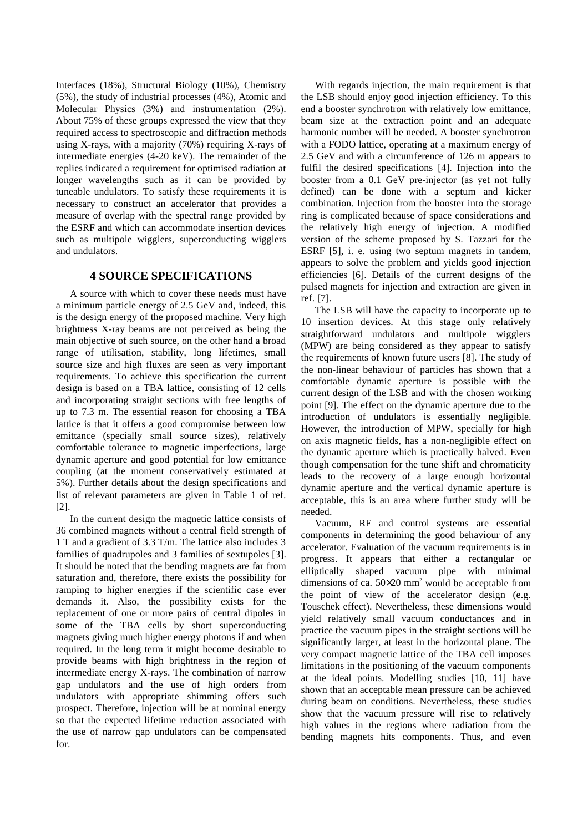Interfaces (18%), Structural Biology (10%), Chemistry (5%), the study of industrial processes (4%), Atomic and Molecular Physics (3%) and instrumentation (2%). About 75% of these groups expressed the view that they required access to spectroscopic and diffraction methods using X-rays, with a majority (70%) requiring X-rays of intermediate energies (4-20 keV). The remainder of the replies indicated a requirement for optimised radiation at longer wavelengths such as it can be provided by tuneable undulators. To satisfy these requirements it is necessary to construct an accelerator that provides a measure of overlap with the spectral range provided by the ESRF and which can accommodate insertion devices such as multipole wigglers, superconducting wigglers and undulators.

## **4 SOURCE SPECIFICATIONS**

A source with which to cover these needs must have a minimum particle energy of 2.5 GeV and, indeed, this is the design energy of the proposed machine. Very high brightness X-ray beams are not perceived as being the main objective of such source, on the other hand a broad range of utilisation, stability, long lifetimes, small source size and high fluxes are seen as very important requirements. To achieve this specification the current design is based on a TBA lattice, consisting of 12 cells and incorporating straight sections with free lengths of up to 7.3 m. The essential reason for choosing a TBA lattice is that it offers a good compromise between low emittance (specially small source sizes), relatively comfortable tolerance to magnetic imperfections, large dynamic aperture and good potential for low emittance coupling (at the moment conservatively estimated at 5%). Further details about the design specifications and list of relevant parameters are given in Table 1 of ref. [2].

In the current design the magnetic lattice consists of 36 combined magnets without a central field strength of 1 T and a gradient of 3.3 T/m. The lattice also includes 3 families of quadrupoles and 3 families of sextupoles [3]. It should be noted that the bending magnets are far from saturation and, therefore, there exists the possibility for ramping to higher energies if the scientific case ever demands it. Also, the possibility exists for the replacement of one or more pairs of central dipoles in some of the TBA cells by short superconducting magnets giving much higher energy photons if and when required. In the long term it might become desirable to provide beams with high brightness in the region of intermediate energy X-rays. The combination of narrow gap undulators and the use of high orders from undulators with appropriate shimming offers such prospect. Therefore, injection will be at nominal energy so that the expected lifetime reduction associated with the use of narrow gap undulators can be compensated for.

With regards injection, the main requirement is that the LSB should enjoy good injection efficiency. To this end a booster synchrotron with relatively low emittance, beam size at the extraction point and an adequate harmonic number will be needed. A booster synchrotron with a FODO lattice, operating at a maximum energy of 2.5 GeV and with a circumference of 126 m appears to fulfil the desired specifications [4]. Injection into the booster from a 0.1 GeV pre-injector (as yet not fully defined) can be done with a septum and kicker combination. Injection from the booster into the storage ring is complicated because of space considerations and the relatively high energy of injection. A modified version of the scheme proposed by S. Tazzari for the ESRF [5], i. e. using two septum magnets in tandem, appears to solve the problem and yields good injection efficiencies [6]. Details of the current designs of the pulsed magnets for injection and extraction are given in ref. [7].

The LSB will have the capacity to incorporate up to 10 insertion devices. At this stage only relatively straightforward undulators and multipole wigglers (MPW) are being considered as they appear to satisfy the requirements of known future users [8]. The study of the non-linear behaviour of particles has shown that a comfortable dynamic aperture is possible with the current design of the LSB and with the chosen working point [9]. The effect on the dynamic aperture due to the introduction of undulators is essentially negligible. However, the introduction of MPW, specially for high on axis magnetic fields, has a non-negligible effect on the dynamic aperture which is practically halved. Even though compensation for the tune shift and chromaticity leads to the recovery of a large enough horizontal dynamic aperture and the vertical dynamic aperture is acceptable, this is an area where further study will be needed.

Vacuum, RF and control systems are essential components in determining the good behaviour of any accelerator. Evaluation of the vacuum requirements is in progress. It appears that either a rectangular or elliptically shaped vacuum pipe with minimal dimensions of ca.  $50 \times 20$  mm<sup>2</sup> would be acceptable from the point of view of the accelerator design (e.g. Touschek effect). Nevertheless, these dimensions would yield relatively small vacuum conductances and in practice the vacuum pipes in the straight sections will be significantly larger, at least in the horizontal plane. The very compact magnetic lattice of the TBA cell imposes limitations in the positioning of the vacuum components at the ideal points. Modelling studies [10, 11] have shown that an acceptable mean pressure can be achieved during beam on conditions. Nevertheless, these studies show that the vacuum pressure will rise to relatively high values in the regions where radiation from the bending magnets hits components. Thus, and even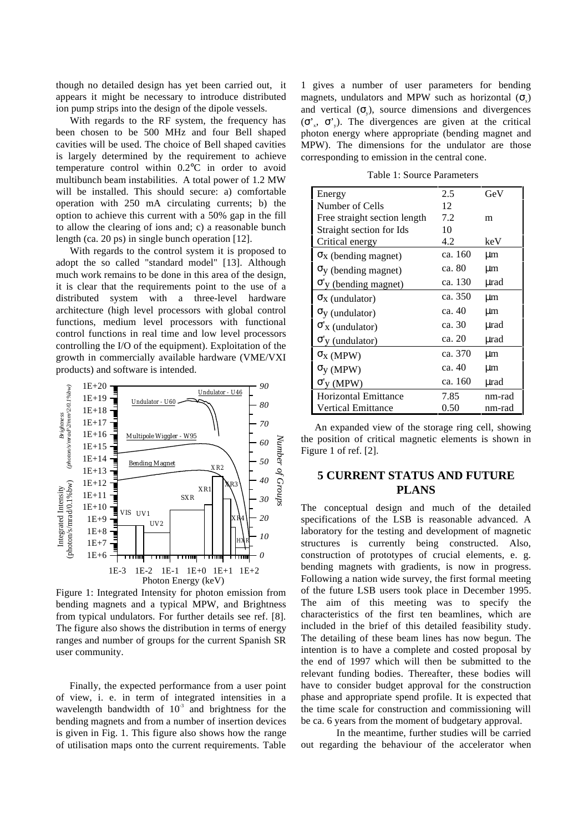though no detailed design has yet been carried out, it appears it might be necessary to introduce distributed ion pump strips into the design of the dipole vessels.

With regards to the RF system, the frequency has been chosen to be 500 MHz and four Bell shaped cavities will be used. The choice of Bell shaped cavities is largely determined by the requirement to achieve temperature control within 0.2°C in order to avoid multibunch beam instabilities. A total power of 1.2 MW will be installed. This should secure: a) comfortable operation with 250 mA circulating currents; b) the option to achieve this current with a 50% gap in the fill to allow the clearing of ions and; c) a reasonable bunch length (ca. 20 ps) in single bunch operation [12].

With regards to the control system it is proposed to adopt the so called "standard model" [13]. Although much work remains to be done in this area of the design, it is clear that the requirements point to the use of a distributed system with a three-level hardware architecture (high level processors with global control functions, medium level processors with functional control functions in real time and low level processors controlling the I/O of the equipment). Exploitation of the growth in commercially available hardware (VME/VXI products) and software is intended.



Figure 1: Integrated Intensity for photon emission from bending magnets and a typical MPW, and Brightness from typical undulators. For further details see ref. [8]. The figure also shows the distribution in terms of energy ranges and number of groups for the current Spanish SR user community.

Finally, the expected performance from a user point of view, i. e. in term of integrated intensities in a wavelength bandwidth of  $10^{-3}$  and brightness for the bending magnets and from a number of insertion devices is given in Fig. 1. This figure also shows how the range of utilisation maps onto the current requirements. Table

1 gives a number of user parameters for bending magnets, undulators and MPW such as horizontal  $(\sigma)$ and vertical  $(\sigma)$ , source dimensions and divergences  $(\sigma', \sigma')$ . The divergences are given at the critical photon energy where appropriate (bending magnet and MPW). The dimensions for the undulator are those corresponding to emission in the central cone.

Table 1: Source Parameters

| Energy                                 | 2.5     | GeV    |
|----------------------------------------|---------|--------|
| Number of Cells                        | 12      |        |
| Free straight section length           | 7.2     | m      |
| Straight section for Ids               | 10      |        |
| Critical energy                        | 4.2     | keV    |
| $\sigma_X$ (bending magnet)            | ca. 160 | μm     |
| $\sigma$ <sub>y</sub> (bending magnet) | ca. 80  | μm     |
| $\sigma$ y (bending magnet)            | ca. 130 | µrad   |
| $\sigma_X$ (undulator)                 | ca. 350 | μm     |
| $\sigma_y$ (undulator)                 | ca. 40  | μm     |
| $\sigma'$ <sub>X</sub> (undulator)     | ca. 30  | µrad   |
| $\sigma$ <sup>'</sup> y (undulator)    | ca. 20  | µrad   |
| $\sigma_X$ (MPW)                       | ca. 370 | μm     |
| $\sigma_V$ (MPW)                       | ca. 40  | μm     |
| $\sigma'_{V}$ (MPW)                    | ca. 160 | µrad   |
| <b>Horizontal Emittance</b>            | 7.85    | nm-rad |
| Vertical Emittance                     | 0.50    | nm-rad |

An expanded view of the storage ring cell, showing the position of critical magnetic elements is shown in Figure 1 of ref. [2].

## **5 CURRENT STATUS AND FUTURE PLANS**

The conceptual design and much of the detailed specifications of the LSB is reasonable advanced. A laboratory for the testing and development of magnetic structures is currently being constructed. Also, construction of prototypes of crucial elements, e. g. bending magnets with gradients, is now in progress. Following a nation wide survey, the first formal meeting of the future LSB users took place in December 1995. The aim of this meeting was to specify the characteristics of the first ten beamlines, which are included in the brief of this detailed feasibility study. The detailing of these beam lines has now begun. The intention is to have a complete and costed proposal by the end of 1997 which will then be submitted to the relevant funding bodies. Thereafter, these bodies will have to consider budget approval for the construction phase and appropriate spend profile. It is expected that the time scale for construction and commissioning will be ca. 6 years from the moment of budgetary approval.

In the meantime, further studies will be carried out regarding the behaviour of the accelerator when